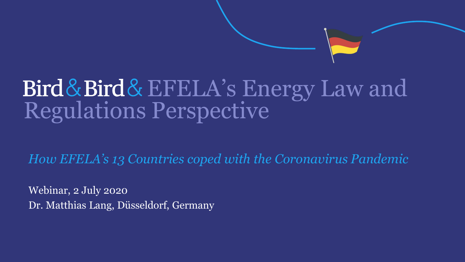## Bird&Bird&EFELA's Energy Law and Regulations Perspective

*How EFELA's 13 Countries coped with the Coronavirus Pandemic*

Webinar, 2 July 2020 Dr. Matthias Lang, Düsseldorf, Germany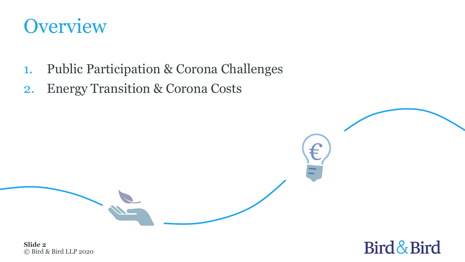

- 1. Public Participation & Corona Challenges
- 2. Energy Transition & Corona Costs



© Bird & Bird LLP 2020 **Slide 2**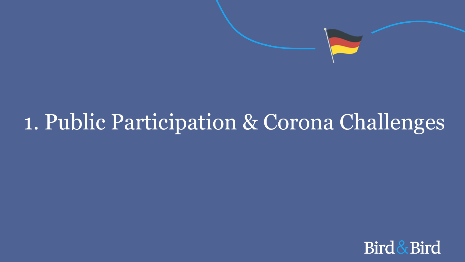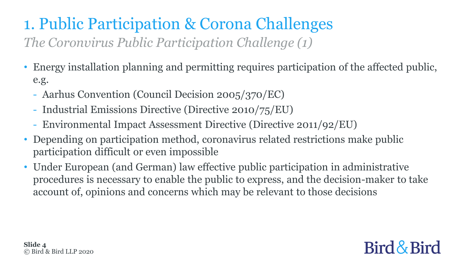#### 1. Public Participation & Corona Challenges *The Coronvirus Public Participation Challenge (1)*

- Energy installation planning and permitting requires participation of the affected public, e.g.
	- Aarhus Convention (Council Decision 2005/370/EC)
	- Industrial Emissions Directive (Directive 2010/75/EU)
	- Environmental Impact Assessment Directive (Directive 2011/92/EU)
- Depending on participation method, coronavirus related restrictions make public participation difficult or even impossible
- Under European (and German) law effective public participation in administrative procedures is necessary to enable the public to express, and the decision-maker to take account of, opinions and concerns which may be relevant to those decisions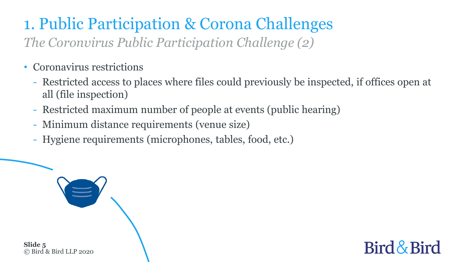#### 1. Public Participation & Corona Challenges *The Coronvirus Public Participation Challenge (2)*

- Coronavirus restrictions
	- Restricted access to places where files could previously be inspected, if offices open at all (file inspection)
	- Restricted maximum number of people at events (public hearing)
	- Minimum distance requirements (venue size)
	- Hygiene requirements (microphones, tables, food, etc.)

© Bird & Bird LLP 2020 **Slide 5**

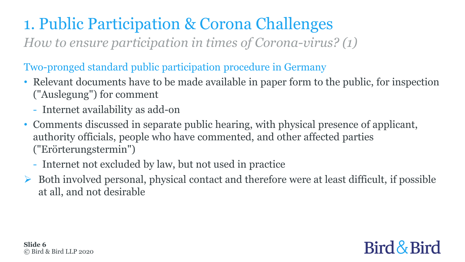*How to ensure participation in times of Corona-virus? (1)*

#### Two-pronged standard public participation procedure in Germany

- Relevant documents have to be made available in paper form to the public, for inspection ("Auslegung") for comment
	- Internet availability as add-on
- Comments discussed in separate public hearing, with physical presence of applicant, authority officials, people who have commented, and other affected parties ("Erörterungstermin")
	- Internet not excluded by law, but not used in practice
- Both involved personal, physical contact and therefore were at least difficult, if possible at all, and not desirable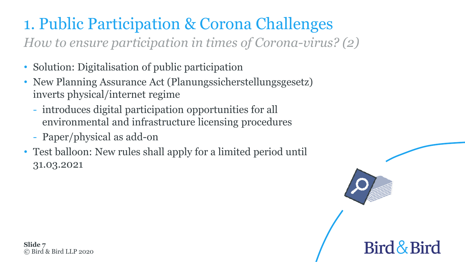*How to ensure participation in times of Corona-virus? (2)*

- Solution: Digitalisation of public participation
- New Planning Assurance Act (Planungssicherstellungsgesetz) inverts physical/internet regime
	- introduces digital participation opportunities for all environmental and infrastructure licensing procedures
	- Paper/physical as add-on
- Test balloon: New rules shall apply for a limited period until 31.03.2021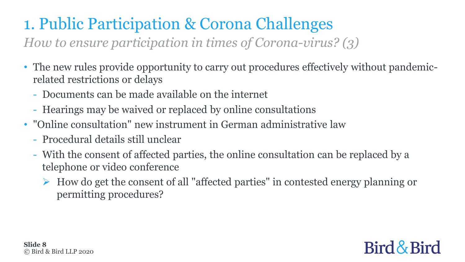*How to ensure participation in times of Corona-virus? (3)*

- The new rules provide opportunity to carry out procedures effectively without pandemicrelated restrictions or delays
	- Documents can be made available on the internet
	- Hearings may be waived or replaced by online consultations
- "Online consultation" new instrument in German administrative law
	- Procedural details still unclear
	- With the consent of affected parties, the online consultation can be replaced by a telephone or video conference
		- $\triangleright$  How do get the consent of all "affected parties" in contested energy planning or permitting procedures?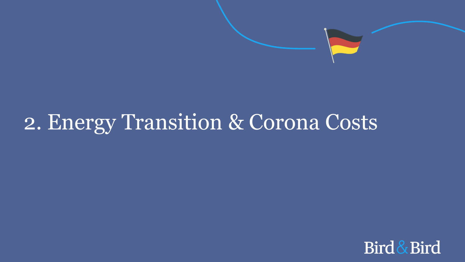

## 2. Energy Transition & Corona Costs

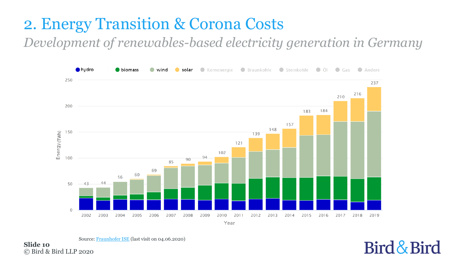#### 2. Energy Transition & Corona Costs

*Development of renewables-based electricity generation in Germany* 



© Bird & Bird LLP 2020 **Slide 10** Source: [Fraunhofer ISE](https://www.ise.fraunhofer.de/content/dam/ise/en/images/News/net_electricity_generation2002_2019.png) (last visit on 04.06.2020)

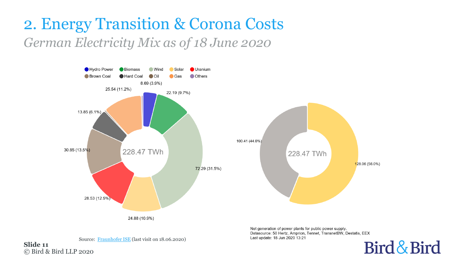#### 2. Energy Transition & Corona Costs *German Electricity Mix as of 18 June 2020*



Net generation of power plants for public power supply. Datasource: 50 Hertz, Amprion, Tennet, TransnetBW, Destatis, EEX Last update: 18 Jun 2020 13:21 Bird & Bird

**Slide 11** Source: [Fraunhofer ISE](https://www.energy-charts.de/energy_pie.htm) (last visit on 18.06.2020)

© Bird & Bird LLP 2020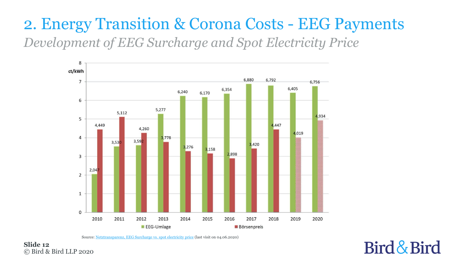#### 2. Energy Transition & Corona Costs - EEG Payments *Development of EEG Surcharge and Spot Electricity Price*



Source: [Netztransparenz, EEG Surcharge vs. spot electricity price](https://www.netztransparenz.de/portals/1/2019-10-15 Veröffentlichung EEG-Umlage 2020.pdf) (last visit on 04.06.2020)

© Bird & Bird LLP 2020 **Slide 12**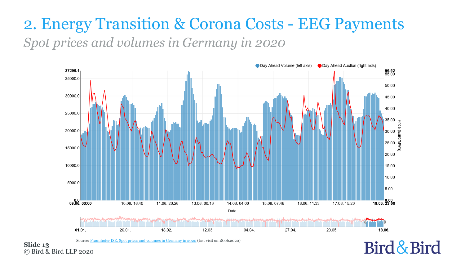#### 2. Energy Transition & Corona Costs - EEG Payments *Spot prices and volumes in Germany in 2020*



Source: [Fraunhofer ISE, Spot prices and volumes in Germany in 2020](https://www.energy-charts.de/price_volume.htm?source=dayahead&year=2020) (last visit on 18.06.2020)

Bird & Bird

© Bird & Bird LLP 2020 **Slide 13**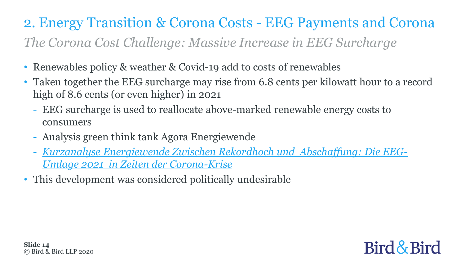#### 2. Energy Transition & Corona Costs - EEG Payments and Corona *The Corona Cost Challenge: Massive Increase in EEG Surcharge*

- Renewables policy & weather & Covid-19 add to costs of renewables
- Taken together the EEG surcharge may rise from 6.8 cents per kilowatt hour to a record high of 8.6 cents (or even higher) in 2021
	- EEG surcharge is used to reallocate above-marked renewable energy costs to consumers
	- Analysis green think tank Agora Energiewende
	- *[Kurzanalyse Energiewende Zwischen Rekordhoch und Abschaffung: Die EEG-](https://www.agora-energiewende.de/fileadmin2/Projekte/2020/2020-05_Doppelter-Booster/A-EW_181_Kurzanalyse_Corona_EEG_Umlage_WEB.pdf)[Umlage 2021 in Zeiten der Corona-Krise](https://www.agora-energiewende.de/fileadmin2/Projekte/2020/2020-05_Doppelter-Booster/A-EW_181_Kurzanalyse_Corona_EEG_Umlage_WEB.pdf)*
- This development was considered politically undesirable

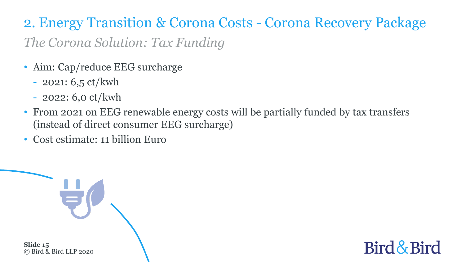2. Energy Transition & Corona Costs - Corona Recovery Package *The Corona Solution: Tax Funding*

- Aim: Cap/reduce EEG surcharge
	- $-2021: 6.5 \text{ ct/kwh}$
	- 2022: 6,0 ct/kwh
- From 2021 on EEG renewable energy costs will be partially funded by tax transfers (instead of direct consumer EEG surcharge)
- Cost estimate: 11 billion Euro



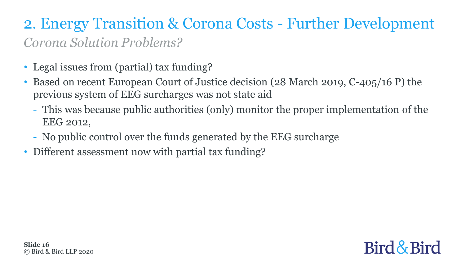#### 2. Energy Transition & Corona Costs - Further Development *Corona Solution Problems?*

- Legal issues from (partial) tax funding?
- Based on recent European Court of Justice decision (28 March 2019, C-405/16 P) the previous system of EEG surcharges was not state aid
	- This was because public authorities (only) monitor the proper implementation of the EEG 2012,
	- No public control over the funds generated by the EEG surcharge
- Different assessment now with partial tax funding?